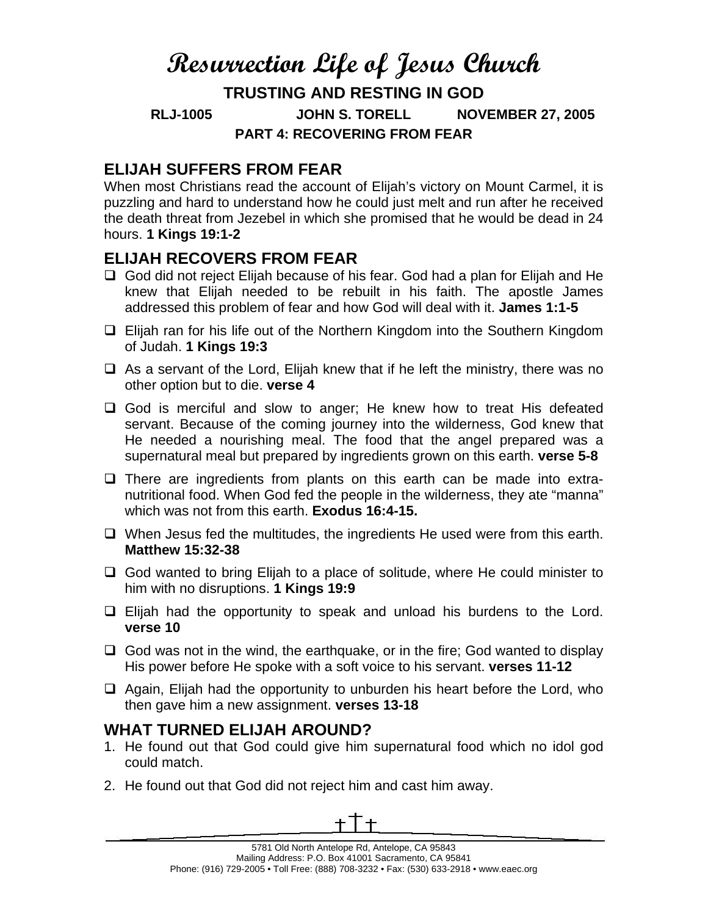# **Resurrection Life of Jesus Church**

**TRUSTING AND RESTING IN GOD RLJ-1005 JOHN S. TORELL NOVEMBER 27, 2005 PART 4: RECOVERING FROM FEAR** 

# **ELIJAH SUFFERS FROM FEAR**

When most Christians read the account of Elijah's victory on Mount Carmel, it is puzzling and hard to understand how he could just melt and run after he received the death threat from Jezebel in which she promised that he would be dead in 24 hours. **1 Kings 19:1-2** 

# **ELIJAH RECOVERS FROM FEAR**

- God did not reject Elijah because of his fear. God had a plan for Elijah and He knew that Elijah needed to be rebuilt in his faith. The apostle James addressed this problem of fear and how God will deal with it. **James 1:1-5**
- $\Box$  Elijah ran for his life out of the Northern Kingdom into the Southern Kingdom of Judah. **1 Kings 19:3**
- $\Box$  As a servant of the Lord, Elijah knew that if he left the ministry, there was no other option but to die. **verse 4**
- □ God is merciful and slow to anger; He knew how to treat His defeated servant. Because of the coming journey into the wilderness, God knew that He needed a nourishing meal. The food that the angel prepared was a supernatural meal but prepared by ingredients grown on this earth. **verse 5-8**
- $\Box$  There are ingredients from plants on this earth can be made into extranutritional food. When God fed the people in the wilderness, they ate "manna" which was not from this earth. **Exodus 16:4-15.**
- $\Box$  When Jesus fed the multitudes, the ingredients He used were from this earth. **Matthew 15:32-38**
- □ God wanted to bring Elijah to a place of solitude, where He could minister to him with no disruptions. **1 Kings 19:9**
- $\Box$  Elijah had the opportunity to speak and unload his burdens to the Lord. **verse 10**
- $\Box$  God was not in the wind, the earthquake, or in the fire; God wanted to display His power before He spoke with a soft voice to his servant. **verses 11-12**
- $\Box$  Again, Elijah had the opportunity to unburden his heart before the Lord, who then gave him a new assignment. **verses 13-18**

# **WHAT TURNED ELIJAH AROUND?**

- 1. He found out that God could give him supernatural food which no idol god could match.
- 2. He found out that God did not reject him and cast him away.